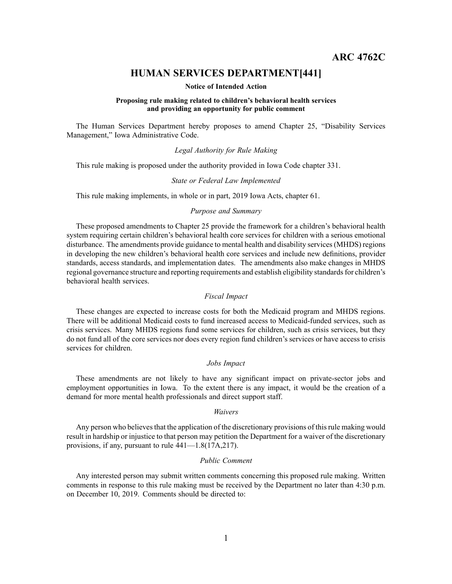**ARC 4762C**

# **HUMAN SERVICES DEPARTMENT[441]**

### **Notice of Intended Action**

### **Proposing rule making related to children's behavioral health services and providing an opportunity for public comment**

The Human Services Department hereby proposes to amend Chapter 25, "Disability Services Management," Iowa Administrative Code.

### *Legal Authority for Rule Making*

This rule making is proposed under the authority provided in Iowa Code chapter 331.

#### *State or Federal Law Implemented*

This rule making implements, in whole or in part, 2019 Iowa Acts, chapter 61.

# *Purpose and Summary*

These proposed amendments to Chapter 25 provide the framework for <sup>a</sup> children's behavioral health system requiring certain children's behavioral health core services for children with <sup>a</sup> serious emotional disturbance. The amendments provide guidance to mental health and disability services(MHDS) regions in developing the new children's behavioral health core services and include new definitions, provider standards, access standards, and implementation dates. The amendments also make changes in MHDS regional governance structure and reporting requirements and establish eligibility standards for children's behavioral health services.

# *Fiscal Impact*

These changes are expected to increase costs for both the Medicaid program and MHDS regions. There will be additional Medicaid costs to fund increased access to Medicaid-funded services, such as crisis services. Many MHDS regions fund some services for children, such as crisis services, but they do not fund all of the core services nor does every region fund children's services or have access to crisis services for children.

### *Jobs Impact*

These amendments are not likely to have any significant impact on private-sector jobs and employment opportunities in Iowa. To the extent there is any impact, it would be the creation of <sup>a</sup> demand for more mental health professionals and direct suppor<sup>t</sup> staff.

#### *Waivers*

Any person who believes that the application of the discretionary provisions of this rule making would result in hardship or injustice to that person may petition the Department for <sup>a</sup> waiver of the discretionary provisions, if any, pursuan<sup>t</sup> to rule 441—1.8(17A,217).

### *Public Comment*

Any interested person may submit written comments concerning this proposed rule making. Written comments in response to this rule making must be received by the Department no later than 4:30 p.m. on December 10, 2019. Comments should be directed to: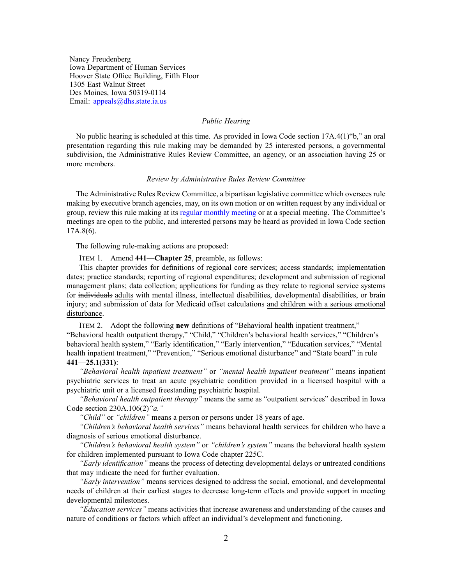Nancy Freudenberg Iowa Department of Human Services Hoover State Office Building, Fifth Floor 1305 East Walnut Street Des Moines, Iowa 50319-0114 Email: appea[ls@dhs.state.ia.us](mailto:appeals@dhs.state.ia.us)

# *Public Hearing*

No public hearing is scheduled at this time. As provided in Iowa Code section 17A.4(1)"b," an oral presentation regarding this rule making may be demanded by 25 interested persons, <sup>a</sup> governmental subdivision, the Administrative Rules Review Committee, an agency, or an association having 25 or more members.

### *Review by Administrative Rules Review Committee*

The Administrative Rules Review Committee, <sup>a</sup> bipartisan legislative committee which oversees rule making by executive branch agencies, may, on its own motion or on written reques<sup>t</sup> by any individual or group, review this rule making at its regular [monthly](https://www.legis.iowa.gov/committees/meetings/meetingsListComm?groupID=705&ga=88) meeting or at <sup>a</sup> special meeting. The Committee's meetings are open to the public, and interested persons may be heard as provided in Iowa Code section 17A.8(6).

The following rule-making actions are proposed:

ITEM 1. Amend **441—Chapter 25**, preamble, as follows:

This chapter provides for definitions of regional core services; access standards; implementation dates; practice standards; reporting of regional expenditures; development and submission of regional managemen<sup>t</sup> plans; data collection; applications for funding as they relate to regional service systems for individuals adults with mental illness, intellectual disabilities, developmental disabilities, or brain injury; and submission of data for Medicaid offset calculations and children with a serious emotional disturbance.

ITEM 2. Adopt the following **new** definitions of "Behavioral health inpatient treatment," "Behavioral health outpatient therapy," "Child," "Children's behavioral health services," "Children's behavioral health system," "Early identification," "Early intervention," "Education services," "Mental health inpatient treatment," "Prevention," "Serious emotional disturbance" and "State board" in rule **441—25.1(331)**:

*"Behavioral health inpatient treatment"* or *"mental health inpatient treatment"* means inpatient psychiatric services to treat an acute psychiatric condition provided in <sup>a</sup> licensed hospital with <sup>a</sup> psychiatric unit or <sup>a</sup> licensed freestanding psychiatric hospital.

*"Behavioral health outpatient therapy"* means the same as "outpatient services" described in Iowa Code section [230A.106\(2\)](https://www.legis.iowa.gov/docs/ico/section/230A.106.pdf)*"a."*

*"Child"* or *"children"* means <sup>a</sup> person or persons under 18 years of age.

*"Children's behavioral health services"* means behavioral health services for children who have <sup>a</sup> diagnosis of serious emotional disturbance.

*"Children's behavioral health system"* or *"children's system"* means the behavioral health system for children implemented pursuan<sup>t</sup> to Iowa Code chapter [225C](https://www.legis.iowa.gov/docs/ico/chapter/225C.pdf).

*"Early identification"* means the process of detecting developmental delays or untreated conditions that may indicate the need for further evaluation.

*"Early intervention"* means services designed to address the social, emotional, and developmental needs of children at their earliest stages to decrease long-term effects and provide suppor<sup>t</sup> in meeting developmental milestones.

*"Education services"* means activities that increase awareness and understanding of the causes and nature of conditions or factors which affect an individual's development and functioning.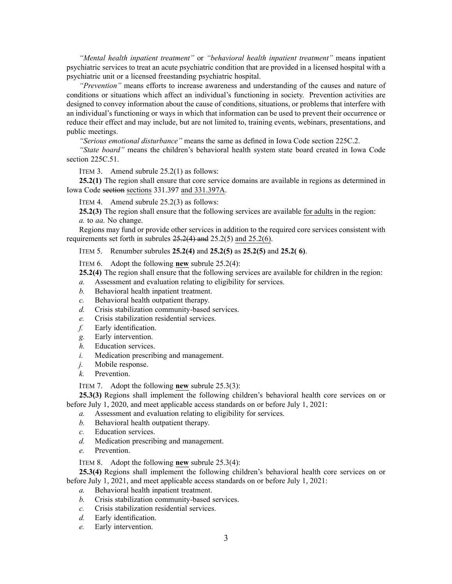*"Mental health inpatient treatment"* or *"behavioral health inpatient treatment"* means inpatient psychiatric services to treat an acute psychiatric condition that are provided in <sup>a</sup> licensed hospital with <sup>a</sup> psychiatric unit or <sup>a</sup> licensed freestanding psychiatric hospital.

*"Prevention"* means efforts to increase awareness and understanding of the causes and nature of conditions or situations which affect an individual's functioning in society. Prevention activities are designed to convey information about the cause of conditions, situations, or problems that interfere with an individual's functioning or ways in which that information can be used to preven<sup>t</sup> their occurrence or reduce their effect and may include, but are not limited to, training events, webinars, presentations, and public meetings.

*"Serious emotional disturbance"* means the same as defined in Iowa Code section [225C.2](https://www.legis.iowa.gov/docs/ico/section/225C.2.pdf).

*"State board"* means the children's behavioral health system state board created in Iowa Code section [225C.51](https://www.legis.iowa.gov/docs/ico/section/225C.51.pdf).

ITEM 3. Amend subrule 25.2(1) as follows:

**25.2(1)** The region shall ensure that core service domains are available in regions as determined in Iowa Code section sections [331.397](https://www.legis.iowa.gov/docs/ico/section/331.397.pdf) and 331.397A.

ITEM 4. Amend subrule 25.2(3) as follows:

**25.2(3)** The region shall ensure that the following services are available for adults in the region: *a.* to *aa.* No change.

Regions may fund or provide other services in addition to the required core services consistent with requirements set forth in subrules [25.2\(4\)](https://www.legis.iowa.gov/docs/iac/rule/441.25.2.pdf) and [25.2\(5\)](https://www.legis.iowa.gov/docs/iac/rule/441.25.2.pdf) and [25.2\(6\)](https://www.legis.iowa.gov/docs/iac/rule/441.25.2.pdf).

ITEM 5. Renumber subrules **25.2(4)** and **25.2(5)** as **25.2(5)** and **25.2( 6)**.

ITEM 6. Adopt the following **new** subrule 25.2(4):

**25.2(4)** The region shall ensure that the following services are available for children in the region:

- *a.* Assessment and evaluation relating to eligibility for services.
- *b.* Behavioral health inpatient treatment.
- *c.* Behavioral health outpatient therapy.
- *d.* Crisis stabilization community-based services.
- *e.* Crisis stabilization residential services.
- *f.* Early identification.
- *g.* Early intervention.
- *h.* Education services.
- *i.* Medication prescribing and management.
- *j.* Mobile response.
- *k.* Prevention.

ITEM 7. Adopt the following **new** subrule 25.3(3):

**25.3(3)** Regions shall implement the following children's behavioral health core services on or before July 1, 2020, and meet applicable access standards on or before July 1, 2021:

*a.* Assessment and evaluation relating to eligibility for services.

- *b.* Behavioral health outpatient therapy.
- *c.* Education services.
- *d.* Medication prescribing and management.
- *e.* Prevention.

ITEM 8. Adopt the following **new** subrule 25.3(4):

**25.3(4)** Regions shall implement the following children's behavioral health core services on or before July 1, 2021, and meet applicable access standards on or before July 1, 2021:

- *a.* Behavioral health inpatient treatment.
- *b.* Crisis stabilization community-based services.
- *c.* Crisis stabilization residential services.
- *d.* Early identification.
- *e.* Early intervention.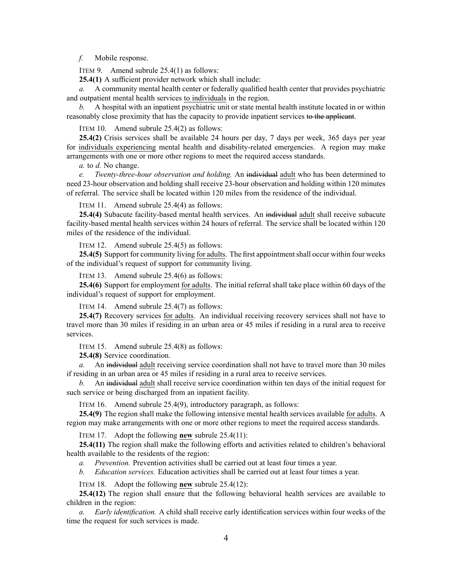### *f.* Mobile response.

ITEM 9. Amend subrule 25.4(1) as follows:

**25.4(1)** A sufficient provider network which shall include:

*a.* A community mental health center or federally qualified health center that provides psychiatric and outpatient mental health services to individuals in the region.

*b.* A hospital with an inpatient psychiatric unit or state mental health institute located in or within reasonably close proximity that has the capacity to provide inpatient services to the applicant.

ITEM 10. Amend subrule 25.4(2) as follows:

**25.4(2)** Crisis services shall be available 24 hours per day, 7 days per week, 365 days per year for individuals experiencing mental health and disability-related emergencies. A region may make arrangements with one or more other regions to meet the required access standards.

*a.* to *d.* No change.

*e. Twenty-three-hour observation and holding.* An individual adult who has been determined to need 23-hour observation and holding shall receive 23-hour observation and holding within 120 minutes of referral. The service shall be located within 120 miles from the residence of the individual.

ITEM 11. Amend subrule 25.4(4) as follows:

**25.4(4)** Subacute facility-based mental health services. An individual adult shall receive subacute facility-based mental health services within 24 hours of referral. The service shall be located within 120 miles of the residence of the individual.

ITEM 12. Amend subrule 25.4(5) as follows:

25.4(5) Support for community living for adults. The first appointment shall occur within four weeks of the individual's reques<sup>t</sup> of suppor<sup>t</sup> for community living.

ITEM 13. Amend subrule 25.4(6) as follows:

**25.4(6)** Support for employment for adults. The initial referral shall take place within 60 days of the individual's reques<sup>t</sup> of suppor<sup>t</sup> for employment.

ITEM 14. Amend subrule 25.4(7) as follows:

**25.4(7)** Recovery services for adults. An individual receiving recovery services shall not have to travel more than 30 miles if residing in an urban area or 45 miles if residing in <sup>a</sup> rural area to receive services.

ITEM 15. Amend subrule 25.4(8) as follows:

**25.4(8)** Service coordination.

*a.* An individual adult receiving service coordination shall not have to travel more than 30 miles if residing in an urban area or 45 miles if residing in <sup>a</sup> rural area to receive services.

*b.* An individual adult shall receive service coordination within ten days of the initial reques<sup>t</sup> for such service or being discharged from an inpatient facility.

ITEM 16. Amend subrule 25.4(9), introductory paragraph, as follows:

**25.4(9)** The region shall make the following intensive mental health services available for adults. A region may make arrangements with one or more other regions to meet the required access standards.

ITEM 17. Adopt the following **new** subrule 25.4(11):

**25.4(11)** The region shall make the following efforts and activities related to children's behavioral health available to the residents of the region:

*a. Prevention.* Prevention activities shall be carried out at least four times <sup>a</sup> year.

*b. Education services.* Education activities shall be carried out at least four times <sup>a</sup> year.

ITEM 18. Adopt the following **new** subrule 25.4(12):

**25.4(12)** The region shall ensure that the following behavioral health services are available to children in the region:

*a. Early identification.* A child shall receive early identification services within four weeks of the time the reques<sup>t</sup> for such services is made.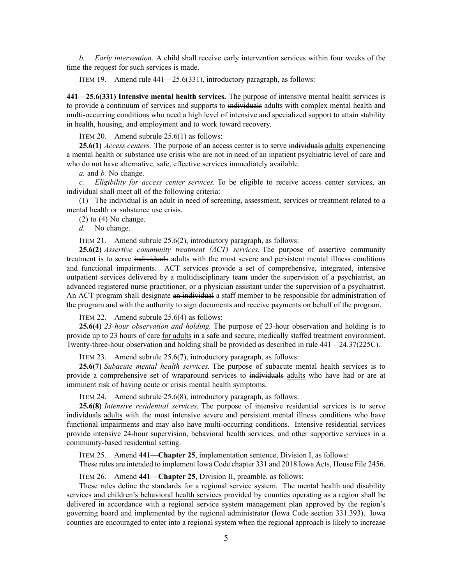*b. Early intervention.* A child shall receive early intervention services within four weeks of the time the reques<sup>t</sup> for such services is made.

ITEM 19. Amend rule 441—25.6(331), introductory paragraph, as follows:

**441—25.6(331) Intensive mental health services.** The purpose of intensive mental health services is to provide <sup>a</sup> continuum of services and supports to individuals adults with complex mental health and multi-occurring conditions who need <sup>a</sup> high level of intensive and specialized suppor<sup>t</sup> to attain stability in health, housing, and employment and to work toward recovery.

ITEM 20. Amend subrule 25.6(1) as follows:

**25.6(1)** *Access centers.* The purpose of an access center is to serve individuals adults experiencing <sup>a</sup> mental health or substance use crisis who are not in need of an inpatient psychiatric level of care and who do not have alternative, safe, effective services immediately available.

*a.* and *b.* No change.

*c. Eligibility for access center services.* To be eligible to receive access center services, an individual shall meet all of the following criteria:

(1) The individual is an adult in need of screening, assessment, services or treatment related to <sup>a</sup> mental health or substance use crisis.

(2) to (4) No change.

*d.* No change.

ITEM 21. Amend subrule 25.6(2), introductory paragraph, as follows:

**25.6(2)** *Assertive community treatment (ACT) services.* The purpose of assertive community treatment is to serve individuals adults with the most severe and persistent mental illness conditions and functional impairments. ACT services provide <sup>a</sup> set of comprehensive, integrated, intensive outpatient services delivered by <sup>a</sup> multidisciplinary team under the supervision of <sup>a</sup> psychiatrist, an advanced registered nurse practitioner, or <sup>a</sup> physician assistant under the supervision of <sup>a</sup> psychiatrist. An ACT program shall designate an individual a staff member to be responsible for administration of the program and with the authority to sign documents and receive payments on behalf of the program.

ITEM 22. Amend subrule 25.6(4) as follows:

**25.6(4)** *23-hour observation and holding.* The purpose of 23-hour observation and holding is to provide up to 23 hours of care for adults in <sup>a</sup> safe and secure, medically staffed treatment environment. Twenty-three-hour observation and holding shall be provided as described in rule [441—24.37](https://www.legis.iowa.gov/docs/iac/rule/441.24.37.pdf)(225C).

ITEM 23. Amend subrule 25.6(7), introductory paragraph, as follows:

**25.6(7)** *Subacute mental health services.* The purpose of subacute mental health services is to provide <sup>a</sup> comprehensive set of wraparound services to individuals adults who have had or are at imminent risk of having acute or crisis mental health symptoms.

ITEM 24. Amend subrule 25.6(8), introductory paragraph, as follows:

**25.6(8)** *Intensive residential services.* The purpose of intensive residential services is to serve individuals adults with the most intensive severe and persistent mental illness conditions who have functional impairments and may also have multi-occurring conditions. Intensive residential services provide intensive 24-hour supervision, behavioral health services, and other supportive services in <sup>a</sup> community-based residential setting.

ITEM 25. Amend **441—Chapter 25**, implementation sentence, Division I, as follows: These rules are intended to implement Iowa Code chapter [331](https://www.legis.iowa.gov/docs/ico/chapter/331.pdf) and 2018 Iowa Acts, House File 2456.

ITEM 26. Amend **441—Chapter 25**, Division II, preamble, as follows:

These rules define the standards for <sup>a</sup> regional service system. The mental health and disability services and children's behavioral health services provided by counties operating as <sup>a</sup> region shall be delivered in accordance with <sup>a</sup> regional service system managemen<sup>t</sup> plan approved by the region's governing board and implemented by the regional administrator (Iowa Code section [331.393](https://www.legis.iowa.gov/docs/ico/section/331.393.pdf)). Iowa counties are encouraged to enter into <sup>a</sup> regional system when the regional approach is likely to increase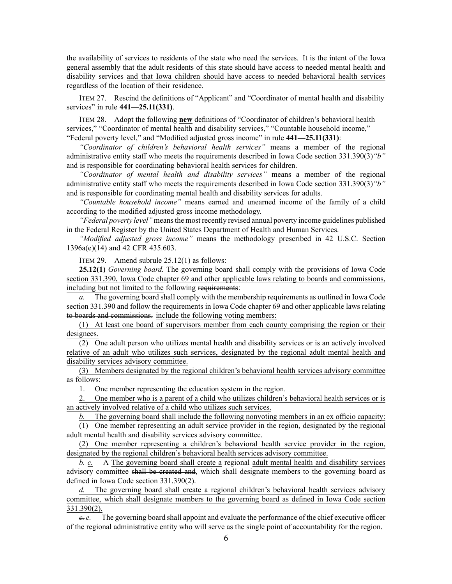the availability of services to residents of the state who need the services. It is the intent of the Iowa general assembly that the adult residents of this state should have access to needed mental health and disability services and that Iowa children should have access to needed behavioral health services regardless of the location of their residence.

ITEM 27. Rescind the definitions of "Applicant" and "Coordinator of mental health and disability services" in rule **441—25.11(331)**.

ITEM 28. Adopt the following **new** definitions of "Coordinator of children's behavioral health services," "Coordinator of mental health and disability services," "Countable household income," "Federal poverty level," and "Modified adjusted gross income" in rule **441—25.11(331)**:

*"Coordinator of children's behavioral health services"* means <sup>a</sup> member of the regional administrative entity staff who meets the requirements described in Iowa Code section [331.390\(3\)](https://www.legis.iowa.gov/docs/ico/section/331.390.pdf)*"b"* and is responsible for coordinating behavioral health services for children.

*"Coordinator of mental health and disability services"* means <sup>a</sup> member of the regional administrative entity staff who meets the requirements described in Iowa Code section [331.390\(3\)](https://www.legis.iowa.gov/docs/ico/section/331.390.pdf)*"b"* and is responsible for coordinating mental health and disability services for adults.

*"Countable household income"* means earned and unearned income of the family of <sup>a</sup> child according to the modified adjusted gross income methodology.

*"Federal poverty level"* meansthe most recently revised annual poverty income guidelines published in the Federal Register by the United States Department of Health and Human Services.

*"Modified adjusted gross income"* means the methodology prescribed in 42 U.S.C. Section 1396a(e)(14) and 42 CFR 435.603.

ITEM 29. Amend subrule 25.12(1) as follows:

**25.12(1)** *Governing board.* The governing board shall comply with the provisions of Iowa Code section [331.390](https://www.legis.iowa.gov/docs/ico/section/331.390.pdf), Iowa Code chapter [69](https://www.legis.iowa.gov/docs/ico/chapter/69.pdf) and other applicable laws relating to boards and commissions, including but not limited to the following requirements:

*a.* The governing board shall comply with the membership requirements as outlined in Iowa Code section [331.390](https://www.legis.iowa.gov/docs/ico/section/331.390.pdf) and follow the requirements in Iowa Code chapter [69](https://www.legis.iowa.gov/docs/ico/chapter/69.pdf) and other applicable laws relating to boards and commissions. include the following voting members:

(1) At least one board of supervisors member from each county comprising the region or their designees.

(2) One adult person who utilizes mental health and disability services or is an actively involved relative of an adult who utilizes such services, designated by the regional adult mental health and disability services advisory committee.

(3) Members designated by the regional children's behavioral health services advisory committee as follows:

1. One member representing the education system in the region.

2. One member who is <sup>a</sup> paren<sup>t</sup> of <sup>a</sup> child who utilizes children's behavioral health services or is an actively involved relative of <sup>a</sup> child who utilizes such services.

*b.* The governing board shall include the following nonvoting members in an ex officio capacity:

(1) One member representing an adult service provider in the region, designated by the regional adult mental health and disability services advisory committee.

(2) One member representing <sup>a</sup> children's behavioral health service provider in the region, designated by the regional children's behavioral health services advisory committee.

*b. c.* A The governing board shall create <sup>a</sup> regional adult mental health and disability services advisory committee shall be created and, which shall designate members to the governing board as defined in Iowa Code section [331.390\(2\)](https://www.legis.iowa.gov/docs/ico/section/331.390.pdf).

*d.* The governing board shall create <sup>a</sup> regional children's behavioral health services advisory committee, which shall designate members to the governing board as defined in Iowa Code section [331.390\(2\)](https://www.legis.iowa.gov/docs/ico/section/331.390.pdf).

*c. e.* The governing board shall appoint and evaluate the performance of the chief executive officer of the regional administrative entity who will serve as the single point of accountability for the region.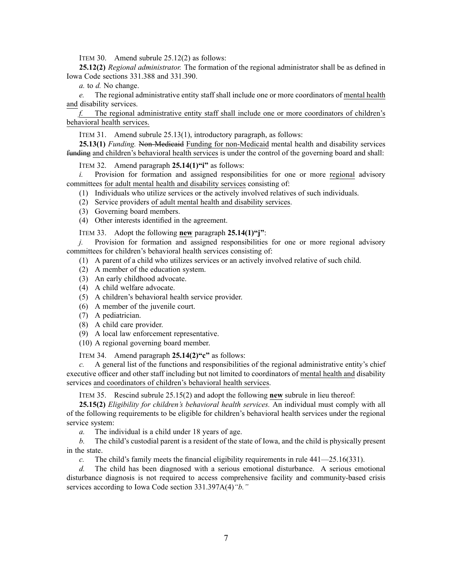ITEM 30. Amend subrule 25.12(2) as follows:

**25.12(2)** *Regional administrator.* The formation of the regional administrator shall be as defined in Iowa Code sections [331.388](https://www.legis.iowa.gov/docs/ico/section/331.388.pdf) and [331.390](https://www.legis.iowa.gov/docs/ico/section/331.390.pdf).

*a.* to *d.* No change.

*e.* The regional administrative entity staff shall include one or more coordinators of mental health and disability services.

*f.* The regional administrative entity staff shall include one or more coordinators of children's behavioral health services.

ITEM 31. Amend subrule 25.13(1), introductory paragraph, as follows:

**25.13(1)** *Funding.* Non-Medicaid Funding for non-Medicaid mental health and disability services funding and children's behavioral health services is under the control of the governing board and shall:

ITEM 32. Amend paragraph **25.14(1)"i"** as follows:

*i.* Provision for formation and assigned responsibilities for one or more regional advisory committees for adult mental health and disability services consisting of:

(1) Individuals who utilize services or the actively involved relatives of such individuals.

- (2) Service providers of adult mental health and disability services.
- (3) Governing board members.
- (4) Other interests identified in the agreement.

ITEM 33. Adopt the following **new** paragraph **25.14(1)"j"**:

*j.* Provision for formation and assigned responsibilities for one or more regional advisory committees for children's behavioral health services consisting of:

- (1) A paren<sup>t</sup> of <sup>a</sup> child who utilizes services or an actively involved relative of such child.
- (2) A member of the education system.
- (3) An early childhood advocate.
- (4) A child welfare advocate.
- (5) A children's behavioral health service provider.
- (6) A member of the juvenile court.
- (7) A pediatrician.
- (8) A child care provider.
- (9) A local law enforcement representative.
- (10) A regional governing board member.

ITEM 34. Amend paragraph **25.14(2)"c"** as follows:

*c.* A general list of the functions and responsibilities of the regional administrative entity's chief executive officer and other staff including but not limited to coordinators of mental health and disability services and coordinators of children's behavioral health services.

ITEM 35. Rescind subrule 25.15(2) and adopt the following **new** subrule in lieu thereof:

**25.15(2)** *Eligibility for children's behavioral health services.* An individual must comply with all of the following requirements to be eligible for children's behavioral health services under the regional service system:

*a.* The individual is <sup>a</sup> child under 18 years of age.

*b.* The child's custodial paren<sup>t</sup> is <sup>a</sup> resident of the state of Iowa, and the child is physically presen<sup>t</sup> in the state.

*c.* The child's family meets the financial eligibility requirements in rule [441—25.16](https://www.legis.iowa.gov/docs/iac/rule/441.25.16.pdf)(331).

*d.* The child has been diagnosed with <sup>a</sup> serious emotional disturbance. A serious emotional disturbance diagnosis is not required to access comprehensive facility and community-based crisis services according to Iowa Code section 331.397A(4)*"b."*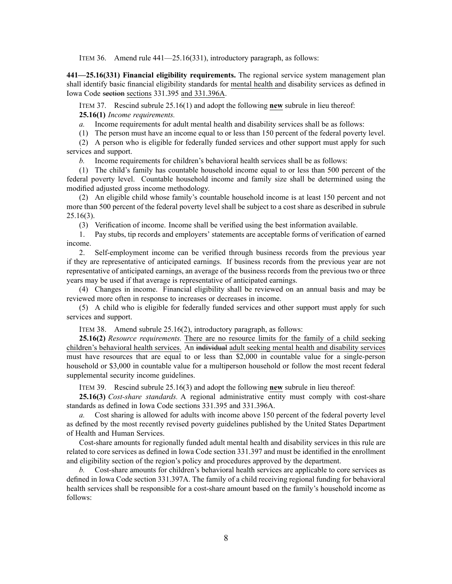ITEM 36. Amend rule 441—25.16(331), introductory paragraph, as follows:

**441—25.16(331) Financial eligibility requirements.** The regional service system managemen<sup>t</sup> plan shall identify basic financial eligibility standards for mental health and disability services as defined in Iowa Code section sections [331.395](https://www.legis.iowa.gov/docs/ico/section/331.395.pdf) and 331.396A.

ITEM 37. Rescind subrule 25.16(1) and adopt the following **new** subrule in lieu thereof: **25.16(1)** *Income requirements.*

*a.* Income requirements for adult mental health and disability services shall be as follows:

(1) The person must have an income equal to or less than 150 percen<sup>t</sup> of the federal poverty level.

(2) A person who is eligible for federally funded services and other suppor<sup>t</sup> must apply for such services and support.

*b.* Income requirements for children's behavioral health services shall be as follows:

(1) The child's family has countable household income equal to or less than 500 percen<sup>t</sup> of the federal poverty level. Countable household income and family size shall be determined using the modified adjusted gross income methodology.

(2) An eligible child whose family's countable household income is at least 150 percen<sup>t</sup> and not more than 500 percen<sup>t</sup> of the federal poverty level shall be subject to <sup>a</sup> cost share as described in subrule [25.16](https://www.legis.iowa.gov/docs/iac/rule/441.25.16.pdf)(3).

(3) Verification of income. Income shall be verified using the best information available.

1. Pay stubs, tip records and employers' statements are acceptable forms of verification of earned income.

2. Self-employment income can be verified through business records from the previous year if they are representative of anticipated earnings. If business records from the previous year are not representative of anticipated earnings, an average of the business records from the previous two or three years may be used if that average is representative of anticipated earnings.

(4) Changes in income. Financial eligibility shall be reviewed on an annual basis and may be reviewed more often in response to increases or decreases in income.

(5) A child who is eligible for federally funded services and other suppor<sup>t</sup> must apply for such services and support.

ITEM 38. Amend subrule 25.16(2), introductory paragraph, as follows:

**25.16(2)** *Resource requirements.* There are no resource limits for the family of <sup>a</sup> child seeking children's behavioral health services. An individual adult seeking mental health and disability services must have resources that are equal to or less than \$2,000 in countable value for <sup>a</sup> single-person household or \$3,000 in countable value for <sup>a</sup> multiperson household or follow the most recent federal supplemental security income guidelines.

ITEM 39. Rescind subrule 25.16(3) and adopt the following **new** subrule in lieu thereof:

**25.16(3)** *Cost-share standards.* A regional administrative entity must comply with cost-share standards as defined in Iowa Code sections [331.395](https://www.legis.iowa.gov/docs/ico/section/331.395.pdf) and 331.396A.

*a.* Cost sharing is allowed for adults with income above 150 percen<sup>t</sup> of the federal poverty level as defined by the most recently revised poverty guidelines published by the United States Department of Health and Human Services.

Cost-share amounts for regionally funded adult mental health and disability services in this rule are related to core services as defined in Iowa Code section [331.397](https://www.legis.iowa.gov/docs/ico/section/331.397.pdf) and must be identified in the enrollment and eligibility section of the region's policy and procedures approved by the department.

*b.* Cost-share amounts for children's behavioral health services are applicable to core services as defined in Iowa Code section 331.397A. The family of <sup>a</sup> child receiving regional funding for behavioral health services shall be responsible for <sup>a</sup> cost-share amount based on the family's household income as follows: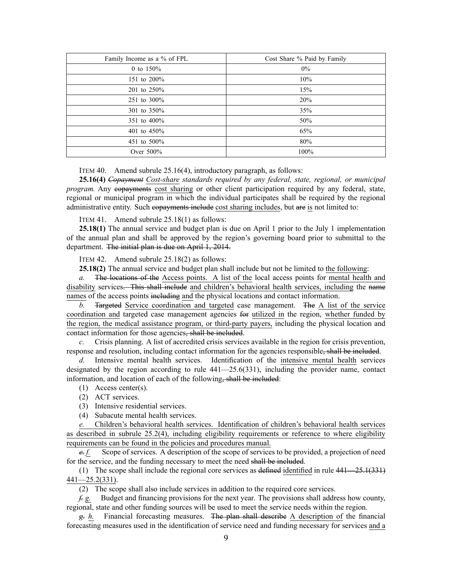| Family Income as a % of FPL | Cost Share % Paid by Family |
|-----------------------------|-----------------------------|
| 0 to $150%$                 | $0\%$                       |
| 151 to 200%                 | 10%                         |
| 201 to 250%                 | 15%                         |
| 251 to 300%                 | 20%                         |
| 301 to 350%                 | 35%                         |
| 351 to 400%                 | 50%                         |
| 401 to 450%                 | 65%                         |
| 451 to 500%                 | 80%                         |
| Over 500%                   | 100%                        |

### ITEM 40. Amend subrule 25.16(4), introductory paragraph, as follows:

**25.16(4)** *Copayment Cost-share standards required by any federal, state, regional, or municipal program.* Any copayments cost sharing or other client participation required by any federal, state, regional or municipal program in which the individual participates shall be required by the regional administrative entity. Such copayments include cost sharing includes, but are is not limited to:

ITEM 41. Amend subrule 25.18(1) as follows:

**25.18(1)** The annual service and budget plan is due on April 1 prior to the July 1 implementation of the annual plan and shall be approved by the region's governing board prior to submittal to the department. The initial plan is due on April 1, 2014.

ITEM 42. Amend subrule 25.18(2) as follows:

**25.18(2)** The annual service and budget plan shall include but not be limited to the following:

*a.* The locations of the Access points. A list of the local access points for mental health and disability services. This shall include and children's behavioral health services, including the name names of the access points including and the physical locations and contact information.

*b.* Targeted Service coordination and targeted case management. The A list of the service coordination and targeted case managemen<sup>t</sup> agencies for utilized in the region, whether funded by the region, the medical assistance program, or third-party payers, including the physical location and contact information for those agencies, shall be included.

*c.* Crisis planning. A list of accredited crisis services available in the region for crisis prevention, response and resolution, including contact information for the agencies responsible, shall be included.

*d.* Intensive mental health services. Identification of the intensive mental health services designated by the region according to rule  $441-25.6(331)$ , including the provider name, contact information, and location of each of the following, shall be included:

- (1) Access center(s).
- (2) ACT services.
- (3) Intensive residential services.

(4) Subacute mental health services.

*e.* Children's behavioral health services. Identification of children's behavioral health services as described in subrule [25.2\(4\)](https://www.legis.iowa.gov/docs/iac/rule/441.25.2.pdf), including eligibility requirements or reference to where eligibility requirements can be found in the policies and procedures manual.

*e. f.* Scope of services. A description of the scope of services to be provided, <sup>a</sup> projection of need for the service, and the funding necessary to meet the need shall be included.

(1) The scope shall include the regional core services as defined identified in rule [441—25.1](https://www.legis.iowa.gov/docs/iac/rule/441.25.1.pdf)(331) [441—25.2](https://www.legis.iowa.gov/docs/iac/rule/441.25.2.pdf)(331).

(2) The scope shall also include services in addition to the required core services.

*f. g.* Budget and financing provisions for the next year. The provisions shall address how county, regional, state and other funding sources will be used to meet the service needs within the region.

*g. h.* Financial forecasting measures. The plan shall describe A description of the financial forecasting measures used in the identification of service need and funding necessary for services and <sup>a</sup>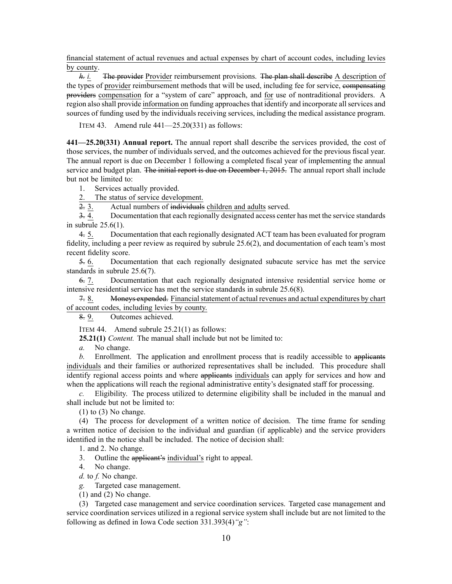financial statement of actual revenues and actual expenses by chart of account codes, including levies by county.

*h. i.* The provider Provider reimbursement provisions. The plan shall describe A description of the types of provider reimbursement methods that will be used, including fee for service, compensating providers compensation for <sup>a</sup> "system of care" approach, and for use of nontraditional providers. A region also shall provide information on funding approaches that identify and incorporate all services and sources of funding used by the individuals receiving services, including the medical assistance program.

ITEM 43. Amend rule 441—25.20(331) as follows:

**441—25.20(331) Annual report.** The annual repor<sup>t</sup> shall describe the services provided, the cost of those services, the number of individuals served, and the outcomes achieved for the previous fiscal year. The annual repor<sup>t</sup> is due on December 1 following <sup>a</sup> completed fiscal year of implementing the annual service and budget plan. The initial report is due on December 1, 2015. The annual report shall include but not be limited to:

1. Services actually provided.

2. The status of service development.<br> $\frac{2}{3}$ . Actual numbers of individuals

Actual numbers of individuals children and adults served.

3. 4. Documentation that each regionally designated access center has met the service standards in subrule [25.6\(1\)](https://www.legis.iowa.gov/docs/iac/rule/441.25.6.pdf).

4. 5. Documentation that each regionally designated ACT team has been evaluated for program fidelity, including <sup>a</sup> peer review as required by subrule [25.6\(2\)](https://www.legis.iowa.gov/docs/iac/rule/441.25.6.pdf), and documentation of each team's most recent fidelity score.

5. 6. Documentation that each regionally designated subacute service has met the service standards in subrule [25.6\(7\)](https://www.legis.iowa.gov/docs/iac/rule/441.25.6.pdf).

6. 7. Documentation that each regionally designated intensive residential service home or intensive residential service has met the service standards in subrule [25.6\(8\)](https://www.legis.iowa.gov/docs/iac/rule/441.25.6.pdf).

7. 8. Moneys expended. Financial statement of actual revenues and actual expenditures by chart of account codes, including levies by county.

8. 9. Outcomes achieved.

ITEM 44. Amend subrule 25.21(1) as follows:

**25.21(1)** *Content.* The manual shall include but not be limited to:

*a.* No change.

*b.* Enrollment. The application and enrollment process that is readily accessible to applicants individuals and their families or authorized representatives shall be included. This procedure shall identify regional access points and where applicants individuals can apply for services and how and when the applications will reach the regional administrative entity's designated staff for processing.

*c.* Eligibility. The process utilized to determine eligibility shall be included in the manual and shall include but not be limited to:

 $(1)$  to  $(3)$  No change.

(4) The process for development of <sup>a</sup> written notice of decision. The time frame for sending <sup>a</sup> written notice of decision to the individual and guardian (if applicable) and the service providers identified in the notice shall be included. The notice of decision shall:

1. and 2. No change.

3. Outline the applicant's individual's right to appeal.

4. No change.

*d.* to *f.* No change.

*g.* Targeted case management.

(1) and (2) No change.

(3) Targeted case managemen<sup>t</sup> and service coordination services. Targeted case managemen<sup>t</sup> and service coordination services utilized in <sup>a</sup> regional service system shall include but are not limited to the following as defined in Iowa Code section [331.393\(4\)](https://www.legis.iowa.gov/docs/ico/section/331.393.pdf)*"g"*: